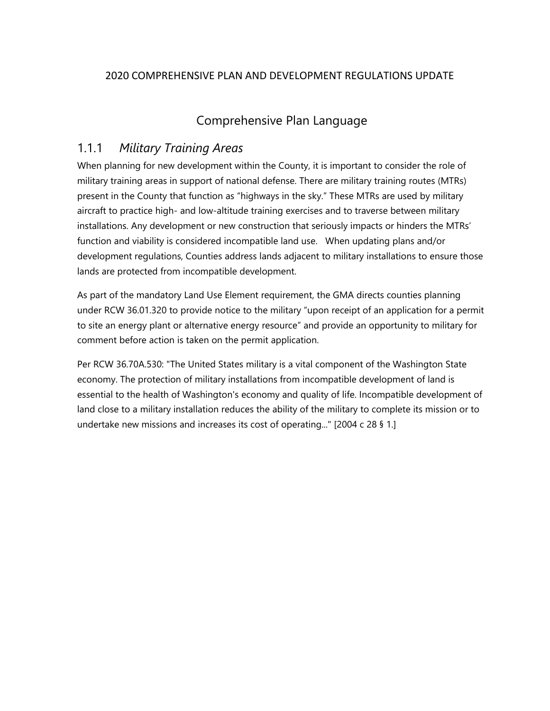### 2020 COMPREHENSIVE PLAN AND DEVELOPMENT REGULATIONS UPDATE

# Comprehensive Plan Language

## 1.1.1 *Military Training Areas*

When planning for new development within the County, it is important to consider the role of military training areas in support of national defense. There are military training routes (MTRs) present in the County that function as "highways in the sky." These MTRs are used by military aircraft to practice high- and low-altitude training exercises and to traverse between military installations. Any development or new construction that seriously impacts or hinders the MTRs' function and viability is considered incompatible land use. When updating plans and/or development regulations, Counties address lands adjacent to military installations to ensure those lands are protected from incompatible development.

As part of the mandatory Land Use Element requirement, the GMA directs counties planning under RCW 36.01.320 to provide notice to the military "upon receipt of an application for a permit to site an energy plant or alternative energy resource" and provide an opportunity to military for comment before action is taken on the permit application.

Per RCW 36.70A.530: "The United States military is a vital component of the Washington State economy. The protection of military installations from incompatible development of land is essential to the health of Washington's economy and quality of life. Incompatible development of land close to a military installation reduces the ability of the military to complete its mission or to undertake new missions and increases its cost of operating..." [2004 c 28 § 1.]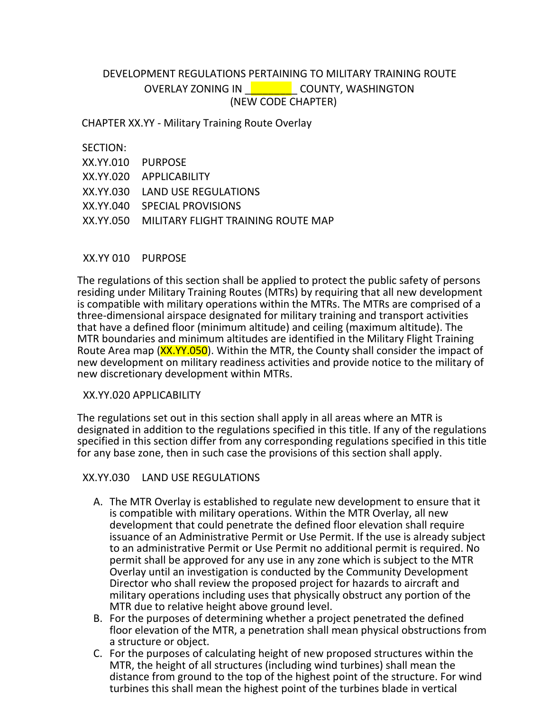### DEVELOPMENT REGULATIONS PERTAINING TO MILITARY TRAINING ROUTE OVERLAY ZONING IN **Letter COUNTY, WASHINGTON** (NEW CODE CHAPTER)

CHAPTER XX.YY - Military Training Route Overlay

#### SECTION:

| XX.YY.010 PURPOSE                            |
|----------------------------------------------|
| XX.YY.020 APPLICABILITY                      |
| XX.YY.030 LAND USE REGULATIONS               |
| XX.YY.040 SPECIAL PROVISIONS                 |
| XX.YY.050 MILITARY FLIGHT TRAINING ROUTE MAP |
|                                              |

#### XX.YY 010 PURPOSE

The regulations of this section shall be applied to protect the public safety of persons residing under Military Training Routes (MTRs) by requiring that all new development is compatible with military operations within the MTRs. The MTRs are comprised of a three-dimensional airspace designated for military training and transport activities that have a defined floor (minimum altitude) and ceiling (maximum altitude). The MTR boundaries and minimum altitudes are identified in the Military Flight Training Route Area map (XX.YY.050). Within the MTR, the County shall consider the impact of new development on military readiness activities and provide notice to the military of new discretionary development within MTRs.

#### XX.YY.020 APPLICABILITY

The regulations set out in this section shall apply in all areas where an MTR is designated in addition to the regulations specified in this title. If any of the regulations specified in this section differ from any corresponding regulations specified in this title for any base zone, then in such case the provisions of this section shall apply.

#### XX.YY.030 LAND USE REGULATIONS

- A. The MTR Overlay is established to regulate new development to ensure that it is compatible with military operations. Within the MTR Overlay, all new development that could penetrate the defined floor elevation shall require issuance of an Administrative Permit or Use Permit. If the use is already subject to an administrative Permit or Use Permit no additional permit is required. No permit shall be approved for any use in any zone which is subject to the MTR Overlay until an investigation is conducted by the Community Development Director who shall review the proposed project for hazards to aircraft and military operations including uses that physically obstruct any portion of the MTR due to relative height above ground level.
- B. For the purposes of determining whether a project penetrated the defined floor elevation of the MTR, a penetration shall mean physical obstructions from a structure or object.
- C. For the purposes of calculating height of new proposed structures within the MTR, the height of all structures (including wind turbines) shall mean the distance from ground to the top of the highest point of the structure. For wind turbines this shall mean the highest point of the turbines blade in vertical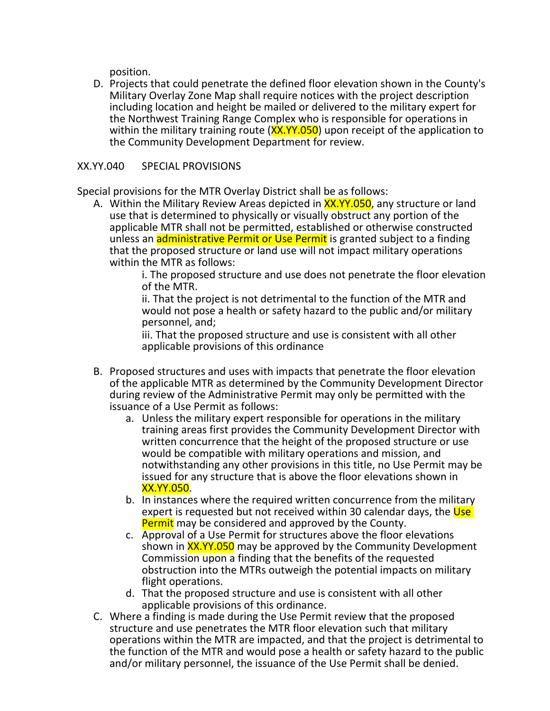position.

D. Projects that could penetrate the defined floor elevation shown in the County's Military Overlay Zone Map shall require notices with the project description including location and height be mailed or delivered to the military expert for the Northwest Training Range Complex who is responsible for operations in within the military training route (XX.YY.050) upon receipt of the application to the Community Development Department for review.

#### XX.YY.040 SPECIAL PROVISIONS

Special provisions for the MTR Overlay District shall be as follows:

A. Within the Military Review Areas depicted in **XX.YY.050**, any structure or land use that is determined to physically or visually obstruct any portion of the applicable MTR shall not be permitted, established or otherwise constructed unless an **administrative Permit or Use Permit** is granted subject to a finding that the proposed structure or land use will not impact military operations within the MTR as follows:

i. The proposed structure and use does not penetrate the floor elevation of the MTR.

ii. That the project is not detrimental to the function of the MTR and would not pose a health or safety hazard to the public and/or military personnel, and;

iii. That the proposed structure and use is consistent with all other applicable provisions of this ordinance

- B. Proposed structures and uses with impacts that penetrate the floor elevation of the applicable MTR as determined by the Community Development Director during review of the Administrative Permit may only be permitted with the issuance of a Use Permit as follows:
	- a. Unless the military expert responsible for operations in the military training areas first provides the Community Development Director with written concurrence that the height of the proposed structure or use would be compatible with military operations and mission, and notwithstanding any other provisions in this title, no Use Permit may be issued for any structure that is above the floor elevations shown in XX.YY.050.
	- b. In instances where the required written concurrence from the military expert is requested but not received within 30 calendar days, the Use Permit may be considered and approved by the County.
	- c. Approval of a Use Permit for structures above the floor elevations shown in XX.YY.050 may be approved by the Community Development Commission upon a finding that the benefits of the requested obstruction into the MTRs outweigh the potential impacts on military flight operations.
	- d. That the proposed structure and use is consistent with all other applicable provisions of this ordinance.
- C. Where a finding is made during the Use Permit review that the proposed structure and use penetrates the MTR floor elevation such that military operations within the MTR are impacted, and that the project is detrimental to the function of the MTR and would pose a health or safety hazard to the public and/or military personnel, the issuance of the Use Permit shall be denied.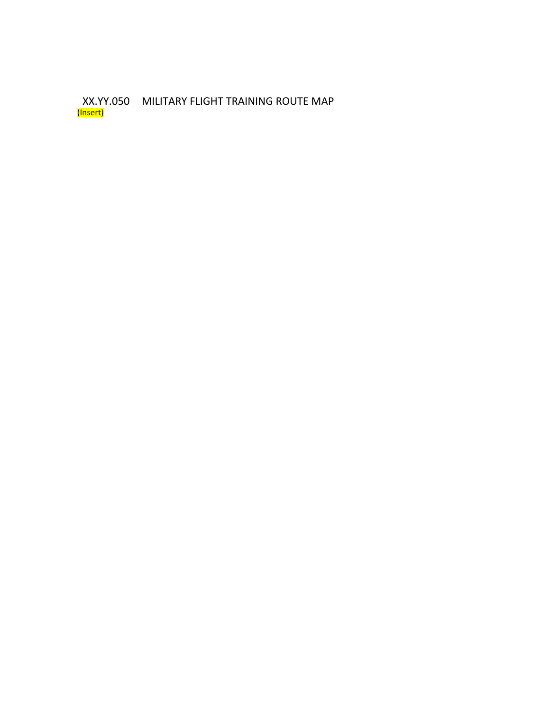XX.YY.050 MILITARY FLIGHT TRAINING ROUTE MAP (Insert)